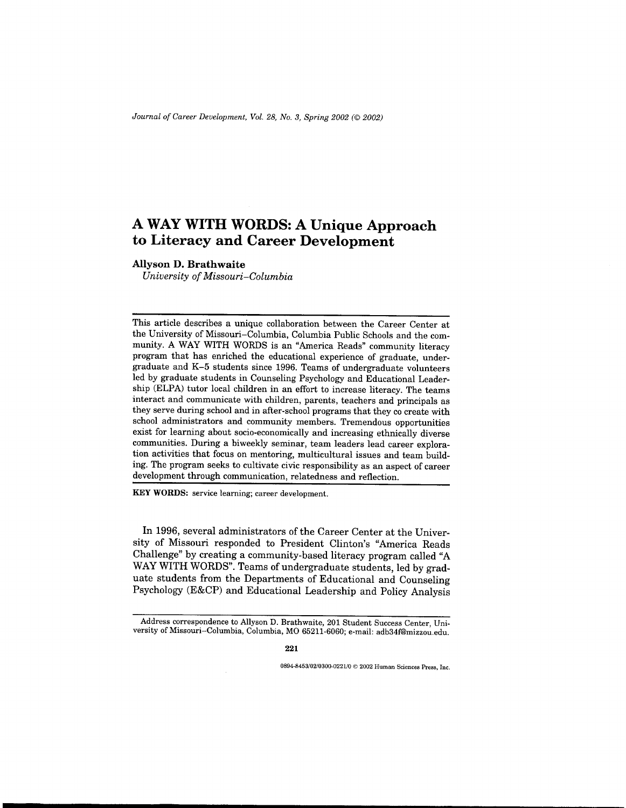# **<sup>A</sup>WAY WITH WORDS: A Unique Approach to Literacy and Career Development**

# Allyson **D.** Brathwaite

*University of Missouri-Columbia* 

This article describes a unique collaboration between the Career Center at the University of Missouri-Columbia, Columbia Public Schools and the community. A WAY WITH WORDS is an "America Reads" community literacy program that has enriched the educational experience of graduate, undergraduate and K-5 students since 1996. Teams of undergraduate volunteers led by graduate students in Counseling Psychology and Educational Leadership (ELPA) tutor local children in an effort to increase literacy. The teams interact and communicate with children, parents, teachers and principals as they serve during school and in after-school programs that they co create with school administrators and community members. Tremendous opportunities exist for learning about socio-economically and increasing ethnically diverse communities. During a biweekly seminar, team leaders lead career exploration activities that focus on mentoring, multicultural issues and team building. The program seeks to cultivate civic responsibility as an aspect of career development through communication, relatedness and reflection.

KEY WORDS: service learning; career development.

In 1996, several administrators of the Career Center at the University of Missouri responded to President Clinton's "America Reads Challenge" by creating a community-based literacy program called "A WAY WITH WORDS". Teams of undergraduate students, led by graduate students from the Departments of Educational and Counseling Psychology (E&CP) and Educational Leadership and Policy Analysis

221

0894-8453/02/0300-022110 © 2002 Human Sciences Press, Inc.

Address correspondence to Allyson D. Brathwaite, 201 Student Success Center, University of Missouri-Columbia, Columbia, MO 65211-6060; e-mail: adb34f@mizzou.edu.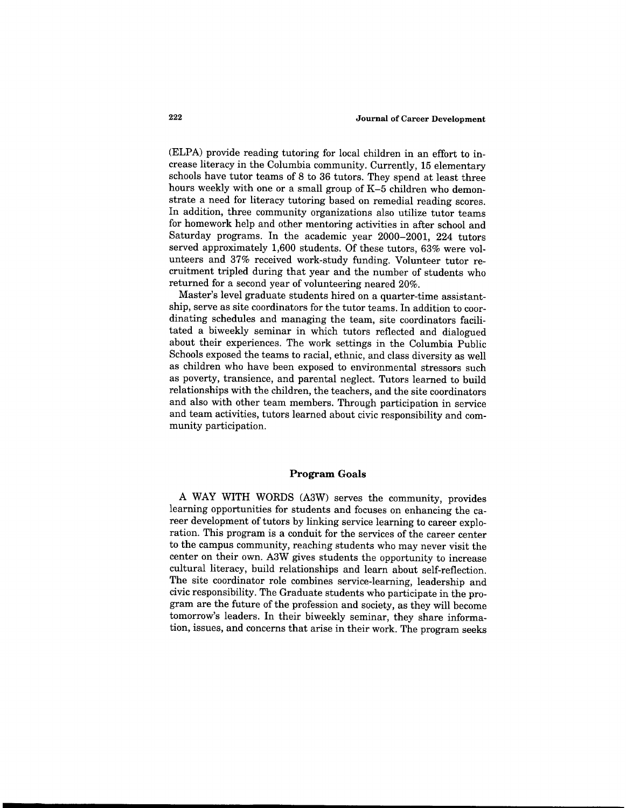(ELPA) provide reading tutoring for local children in an effort to increase literacy in the Columbia community. Currently, 15 elementary schools have tutor teams of 8 to 36 tutors. They spend at least three hours weekly with one or a small group of K-5 children who demonstrate a need for literacy tutoring based on remedial reading scores. In addition, three community organizations also utilize tutor teams for homework help and other mentoring activities in after school and Saturday programs. In the academic year 2000-2001, 224 tutors served approximately 1,600 students. Of these tutors, 63% were volunteers and 37% received work-study funding. Volunteer tutor recruitment tripled during that year and the number of students who returned for a second year of volunteering neared 20%.

Master's level graduate students hired on a quarter-time assistantship, serve as site coordinators for the tutor teams. In addition to coordinating schedules and managing the team, site coordinators facilitated a biweekly seminar in which tutors reflected and dialogued about their experiences. The work settings in the Columbia Public Schools exposed the teams to racial, ethnic, and class diversity as well as children who have been exposed to environmental stressors such as poverty, transience, and parental neglect. Tutors learned to build relationships with the children, the teachers, and the site coordinators and also with other team members. Through participation in service and team activities, tutors learned about civic responsibility and community participation.

## **Program Goals**

A WAY WITH WORDS (A3W) serves the community, provides learning opportunities for students and focuses on enhancing the career development of tutors by linking service learning to career exploration. This program is a conduit for the services of the career center to the campus community, reaching students who may never visit the center on their own. A3W gives students the opportunity to increase cultural literacy, build relationships and learn about self-reflection. The site coordinator role combines service-learning, leadership and civic responsibility. The Graduate students who participate in the program are the future of the profession and society, as they will become tomorrow's leaders. In their biweekly seminar, they share information, issues, and concerns that arise in their work. The program seeks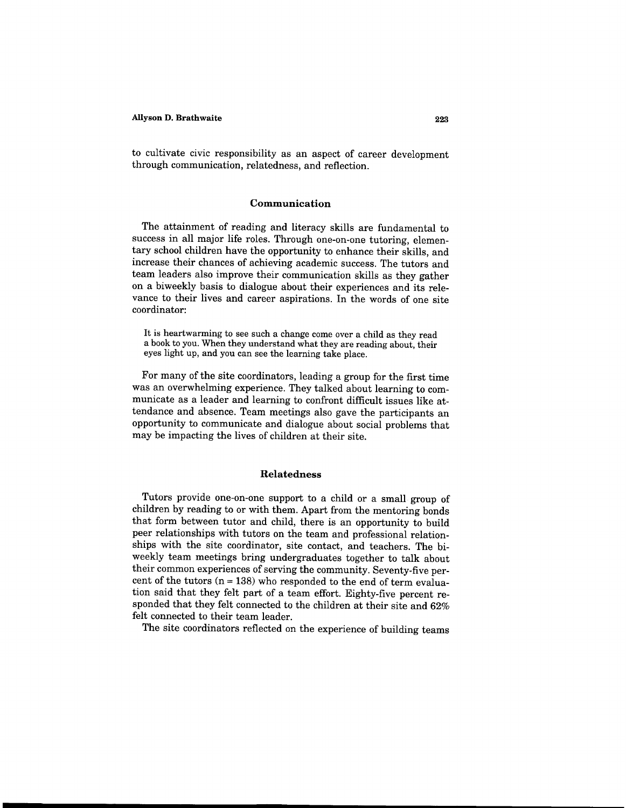to cultivate civic responsibility as an aspect of career development through communication, relatedness, and reflection.

# **Communication**

The attainment of reading and literacy skills are fundamental to success in all major life roles. Through one-on-one tutoring, elementary school children have the opportunity to enhance their skills, and increase their chances of achieving academic success. The tutors and team leaders also improve their communication skills as they gather on a biweekly basis to dialogue about their experiences and its relevance to their lives and career aspirations. In the words of one site coordinator:

It is heartwarming to see such a change come over a child as they read a book to you. When they understand what they are reading about, their eyes light up, and you can see the learning take place.

For many of the site coordinators, leading a group for the first time was an overwhelming experience. They talked about learning to communicate as a leader and learning to confront difficult issues like attendance and absence. Team meetings also gave the participants an opportunity to communicate and dialogue about social problems that may be impacting the lives of children at their site.

#### **Relatedness**

Tutors provide one-on-one support to a child or a small group of children by reading to or with them. Apart from the mentoring bonds that form between tutor and child, there is an opportunity to build peer relationships with tutors on the team and professional relationships with the site coordinator, site contact, and teachers. The biweekly team meetings bring undergraduates together to talk about their common experiences of serving the community. Seventy-five percent of the tutors  $(n = 138)$  who responded to the end of term evaluation said that they felt part of a team effort. Eighty-five percent responded that they felt connected to the children at their site and 62% felt connected to their team leader.

The site coordinators reflected on the experience of building teams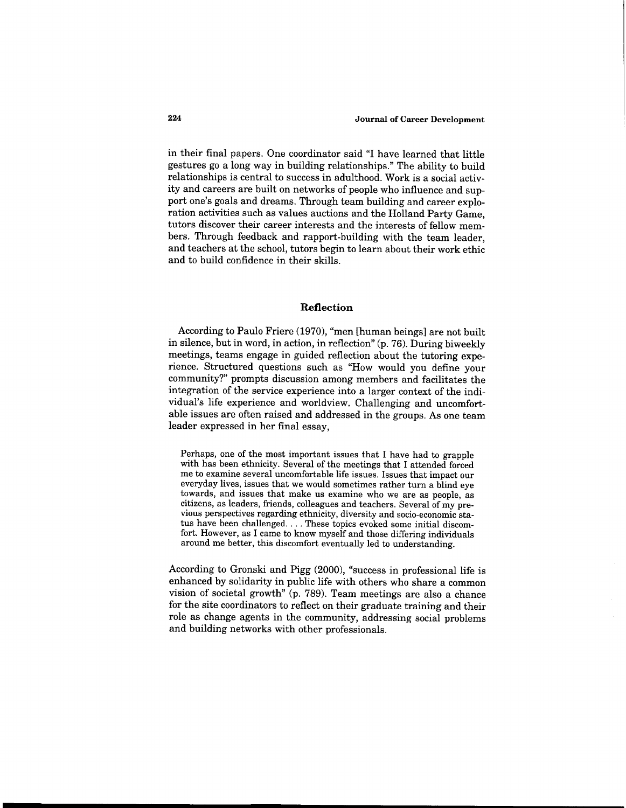in their final papers. One coordinator said "I have learned that little gestures go a long way in building relationships." The ability to build relationships is central to success in adulthood. Work is a social activity and careers are built on networks of people who influence and support one's goals and dreams. Through team building and career exploration activities such as values auctions and the Holland Party Game, tutors discover their career interests and the interests of fellow members. Through feedback and rapport-building with the team leader, and teachers at the school, tutors begin to learn about their work ethic and to build confidence in their skills.

## **Reflection**

According to Paulo Friere (1970), "men [human beings] are not built in silence, but in word, in action, in reflection" (p. 76). During biweekly meetings, teams engage in guided reflection about the tutoring experience. Structured questions such as "How would you define your community?" prompts discussion among members and facilitates the integration of the service experience into a larger context of the individual's life experience and worldview. Challenging and uncomfortable issues are often raised and addressed in the groups. As one team leader expressed in her final essay,

Perhaps, one of the most important issues that I have had to grapple with has been ethnicity. Several of the meetings that I attended forced me to examine several uncomfortable life issues. Issues that impact our everyday lives, issues that we would sometimes rather turn a blind eye towards, and issues that make us examine who we are as people, as citizens, as leaders, friends, colleagues and teachers. Several of my previous perspectives regarding ethnicity, diversity and socio-economic status have been challenged.... These topics evoked some initial discomfort. However, as I came to know myself and those differing individuals around me better, this discomfort eventually led to understanding.

According to Gronski and Pigg (2000), "success in professional life is enhanced by solidarity in public life with others who share a common vision of societal growth" (p. 789). Team meetings are also a chance for the site coordinators to reflect on their graduate training and their role as change agents in the community, addressing social problems and building networks with other professionals.